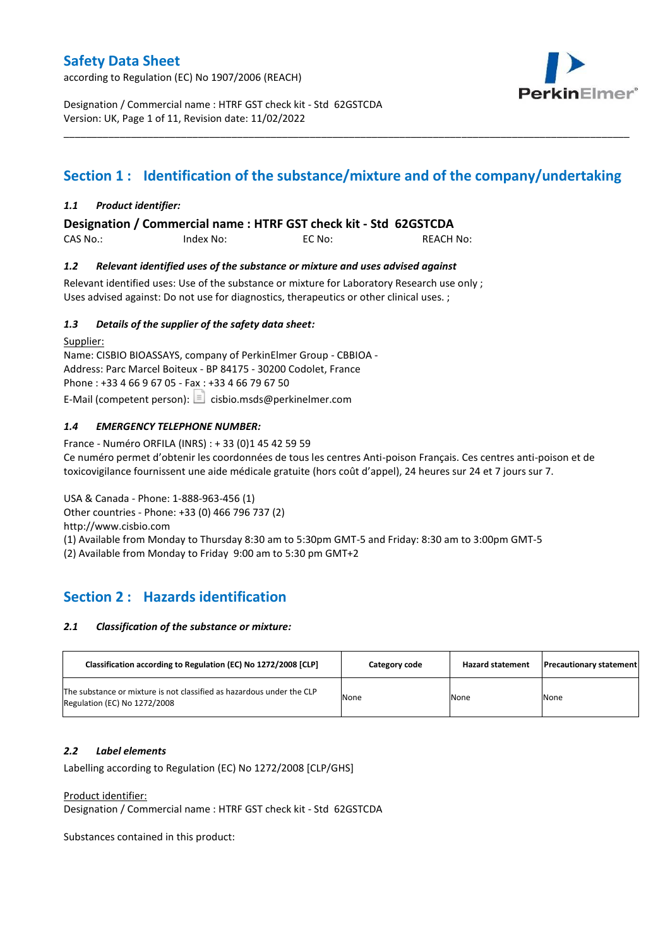according to Regulation (EC) No 1907/2006 (REACH)



Designation / Commercial name : HTRF GST check kit - Std 62GSTCDA Version: UK, Page 1 of 11, Revision date: 11/02/2022

# **Section 1 : Identification of the substance/mixture and of the company/undertaking**

\_\_\_\_\_\_\_\_\_\_\_\_\_\_\_\_\_\_\_\_\_\_\_\_\_\_\_\_\_\_\_\_\_\_\_\_\_\_\_\_\_\_\_\_\_\_\_\_\_\_\_\_\_\_\_\_\_\_\_\_\_\_\_\_\_\_\_\_\_\_\_\_\_\_\_\_\_\_\_\_\_\_\_\_\_\_\_\_\_\_\_\_\_\_\_\_\_\_\_\_\_

### *1.1 Product identifier:*

**Designation / Commercial name : HTRF GST check kit - Std 62GSTCDA** 

CAS No.: Index No: EC No: REACH No:

### *1.2 Relevant identified uses of the substance or mixture and uses advised against*

Relevant identified uses: Use of the substance or mixture for Laboratory Research use only ; Uses advised against: Do not use for diagnostics, therapeutics or other clinical uses. ;

### *1.3 Details of the supplier of the safety data sheet:*

Supplier: Name: CISBIO BIOASSAYS, company of PerkinElmer Group - CBBIOA - Address: Parc Marcel Boiteux - BP 84175 - 30200 Codolet, France Phone : +33 4 66 9 67 05 - Fax : +33 4 66 79 67 50 E-Mail (competent person):  $\boxed{\equiv}$  cisbio.msds@perkinelmer.com

### *1.4 EMERGENCY TELEPHONE NUMBER:*

France - Numéro ORFILA (INRS) : + 33 (0)1 45 42 59 59 Ce numéro permet d'obtenir les coordonnées de tous les centres Anti-poison Français. Ces centres anti-poison et de toxicovigilance fournissent une aide médicale gratuite (hors coût d'appel), 24 heures sur 24 et 7 jours sur 7.

USA & Canada - Phone: 1-888-963-456 (1) Other countries - Phone: +33 (0) 466 796 737 (2)

http://www.cisbio.com

(1) Available from Monday to Thursday 8:30 am to 5:30pm GMT-5 and Friday: 8:30 am to 3:00pm GMT-5

(2) Available from Monday to Friday 9:00 am to 5:30 pm GMT+2

# **Section 2 : Hazards identification**

#### *2.1 Classification of the substance or mixture:*

| Classification according to Regulation (EC) No 1272/2008 [CLP]                                        | Category code | <b>Hazard statement</b> | <b>Precautionary statement</b> |
|-------------------------------------------------------------------------------------------------------|---------------|-------------------------|--------------------------------|
| The substance or mixture is not classified as hazardous under the CLP<br>Regulation (EC) No 1272/2008 | None          | None                    | None                           |

#### *2.2 Label elements*

Labelling according to Regulation (EC) No 1272/2008 [CLP/GHS]

Product identifier:

Designation / Commercial name : HTRF GST check kit - Std 62GSTCDA

Substances contained in this product: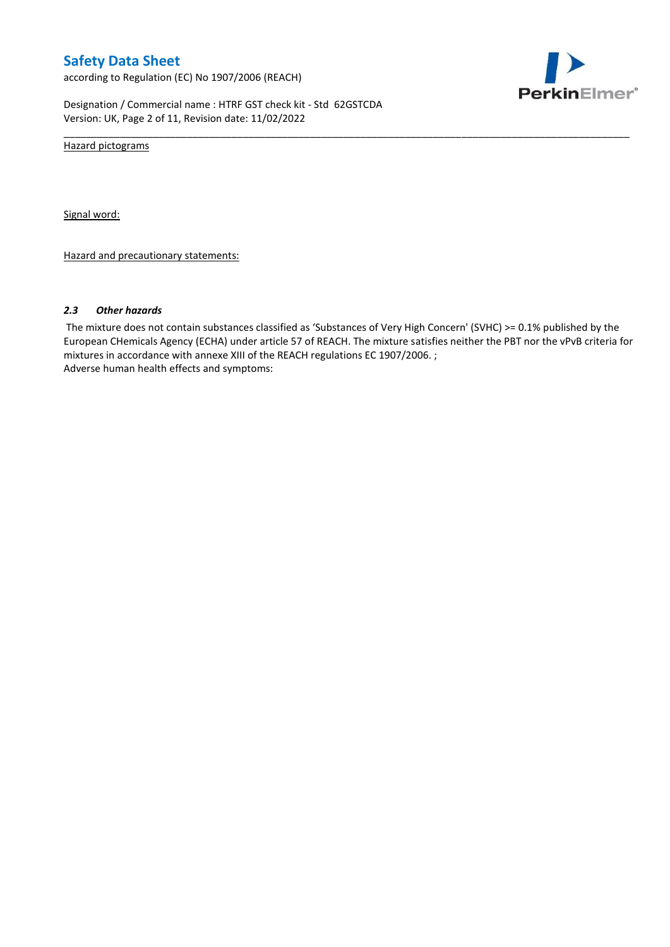according to Regulation (EC) No 1907/2006 (REACH)



Designation / Commercial name : HTRF GST check kit - Std 62GSTCDA Version: UK, Page 2 of 11, Revision date: 11/02/2022

Hazard pictograms

Signal word:

Hazard and precautionary statements:

#### *2.3 Other hazards*

The mixture does not contain substances classified as 'Substances of Very High Concern' (SVHC) >= 0.1% published by the European CHemicals Agency (ECHA) under article 57 of REACH. The mixture satisfies neither the PBT nor the vPvB criteria for mixtures in accordance with annexe XIII of the REACH regulations EC 1907/2006. ; Adverse human health effects and symptoms:

\_\_\_\_\_\_\_\_\_\_\_\_\_\_\_\_\_\_\_\_\_\_\_\_\_\_\_\_\_\_\_\_\_\_\_\_\_\_\_\_\_\_\_\_\_\_\_\_\_\_\_\_\_\_\_\_\_\_\_\_\_\_\_\_\_\_\_\_\_\_\_\_\_\_\_\_\_\_\_\_\_\_\_\_\_\_\_\_\_\_\_\_\_\_\_\_\_\_\_\_\_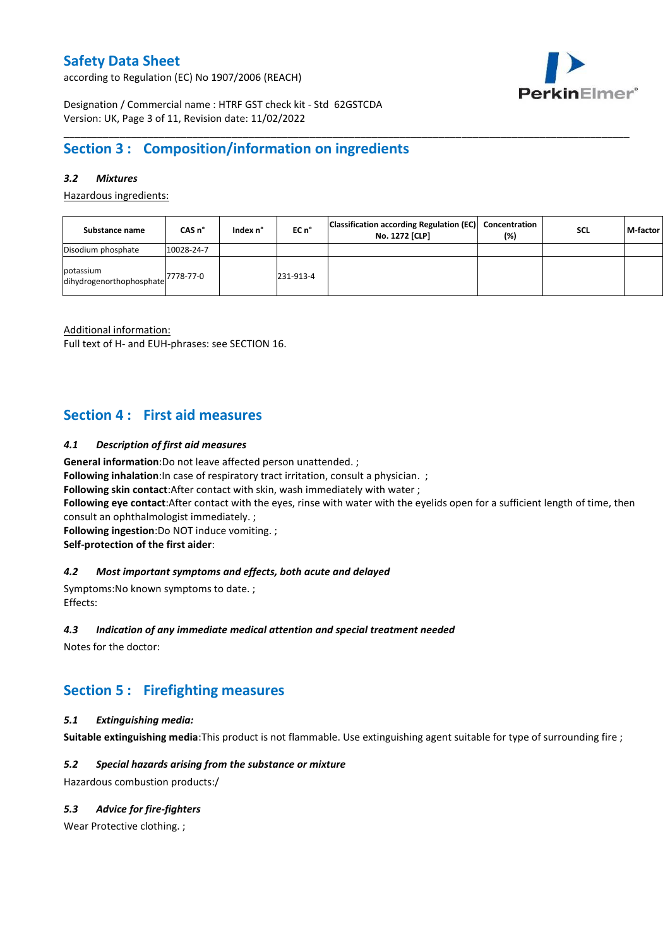according to Regulation (EC) No 1907/2006 (REACH)



Designation / Commercial name : HTRF GST check kit - Std 62GSTCDA Version: UK, Page 3 of 11, Revision date: 11/02/2022

# **Section 3 : Composition/information on ingredients**

### *3.2 Mixtures*

Hazardous ingredients:

| Substance name                                             | CAS n°     | Index n° | EC n°     | Classification according Regulation (EC) Concentration<br>No. 1272 [CLP] | (%) | <b>SCL</b> | M-factor |
|------------------------------------------------------------|------------|----------|-----------|--------------------------------------------------------------------------|-----|------------|----------|
| Disodium phosphate                                         | 10028-24-7 |          |           |                                                                          |     |            |          |
| potassium<br>dihydrogenorthophosphate <sup>7778-77-0</sup> |            |          | 231-913-4 |                                                                          |     |            |          |

\_\_\_\_\_\_\_\_\_\_\_\_\_\_\_\_\_\_\_\_\_\_\_\_\_\_\_\_\_\_\_\_\_\_\_\_\_\_\_\_\_\_\_\_\_\_\_\_\_\_\_\_\_\_\_\_\_\_\_\_\_\_\_\_\_\_\_\_\_\_\_\_\_\_\_\_\_\_\_\_\_\_\_\_\_\_\_\_\_\_\_\_\_\_\_\_\_\_\_\_\_

Additional information:

Full text of H- and EUH-phrases: see SECTION 16.

# **Section 4 : First aid measures**

#### *4.1 Description of first aid measures*

**General information**:Do not leave affected person unattended. ;

**Following inhalation:**In case of respiratory tract irritation, consult a physician. ;

**Following skin contact**:After contact with skin, wash immediately with water ;

**Following eye contact**:After contact with the eyes, rinse with water with the eyelids open for a sufficient length of time, then consult an ophthalmologist immediately. ;

**Following ingestion**:Do NOT induce vomiting. ; **Self-protection of the first aider**:

#### *4.2 Most important symptoms and effects, both acute and delayed*

Symptoms:No known symptoms to date. ; Effects:

#### *4.3 Indication of any immediate medical attention and special treatment needed*

Notes for the doctor:

# **Section 5 : Firefighting measures**

### *5.1 Extinguishing media:*

**Suitable extinguishing media**:This product is not flammable. Use extinguishing agent suitable for type of surrounding fire ;

#### *5.2 Special hazards arising from the substance or mixture*

Hazardous combustion products:/

### *5.3 Advice for fire-fighters*

Wear Protective clothing.;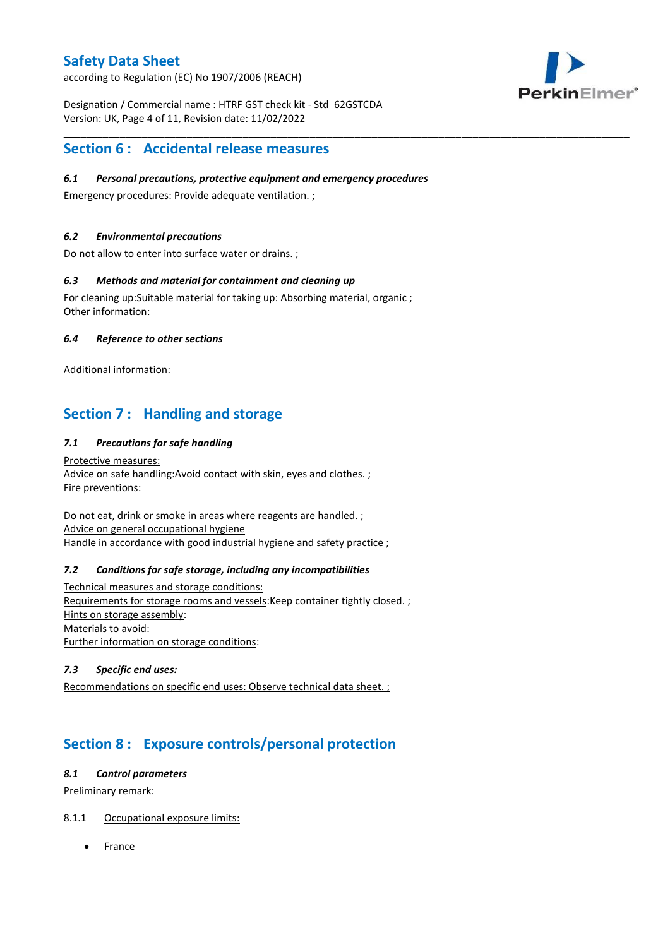according to Regulation (EC) No 1907/2006 (REACH)



Designation / Commercial name : HTRF GST check kit - Std 62GSTCDA Version: UK, Page 4 of 11, Revision date: 11/02/2022

# **Section 6 : Accidental release measures**

### *6.1 Personal precautions, protective equipment and emergency procedures*

\_\_\_\_\_\_\_\_\_\_\_\_\_\_\_\_\_\_\_\_\_\_\_\_\_\_\_\_\_\_\_\_\_\_\_\_\_\_\_\_\_\_\_\_\_\_\_\_\_\_\_\_\_\_\_\_\_\_\_\_\_\_\_\_\_\_\_\_\_\_\_\_\_\_\_\_\_\_\_\_\_\_\_\_\_\_\_\_\_\_\_\_\_\_\_\_\_\_\_\_\_

Emergency procedures: Provide adequate ventilation. ;

### *6.2 Environmental precautions*

Do not allow to enter into surface water or drains. ;

### *6.3 Methods and material for containment and cleaning up*

For cleaning up:Suitable material for taking up: Absorbing material, organic ; Other information:

### *6.4 Reference to other sections*

Additional information:

# **Section 7 : Handling and storage**

### *7.1 Precautions for safe handling*

Protective measures: Advice on safe handling:Avoid contact with skin, eyes and clothes. ; Fire preventions:

Do not eat, drink or smoke in areas where reagents are handled. ; Advice on general occupational hygiene Handle in accordance with good industrial hygiene and safety practice ;

#### *7.2 Conditions for safe storage, including any incompatibilities*

Technical measures and storage conditions: Requirements for storage rooms and vessels:Keep container tightly closed. ; Hints on storage assembly: Materials to avoid: Further information on storage conditions:

### *7.3 Specific end uses:*

Recommendations on specific end uses: Observe technical data sheet. ;

# **Section 8 : Exposure controls/personal protection**

#### *8.1 Control parameters*

Preliminary remark:

### 8.1.1 Occupational exposure limits:

France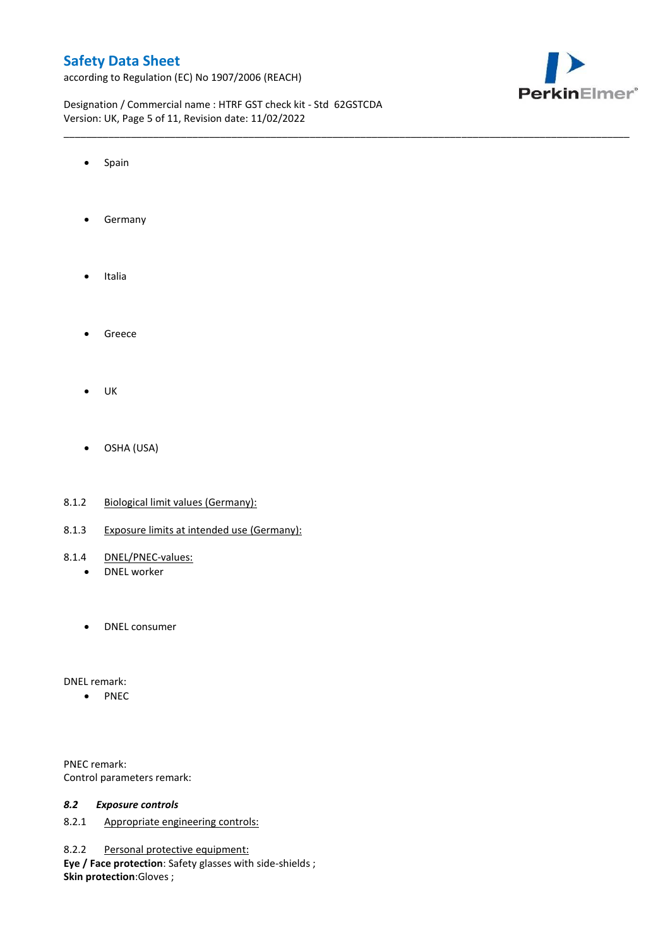according to Regulation (EC) No 1907/2006 (REACH)



Designation / Commercial name : HTRF GST check kit - Std 62GSTCDA Version: UK, Page 5 of 11, Revision date: 11/02/2022

\_\_\_\_\_\_\_\_\_\_\_\_\_\_\_\_\_\_\_\_\_\_\_\_\_\_\_\_\_\_\_\_\_\_\_\_\_\_\_\_\_\_\_\_\_\_\_\_\_\_\_\_\_\_\_\_\_\_\_\_\_\_\_\_\_\_\_\_\_\_\_\_\_\_\_\_\_\_\_\_\_\_\_\_\_\_\_\_\_\_\_\_\_\_\_\_\_\_\_\_\_

- Spain
- **•** Germany
- Italia
- **•** Greece
- $\bullet$  UK
- OSHA (USA)
- 8.1.2 Biological limit values (Germany):
- 8.1.3 Exposure limits at intended use (Germany):
- 8.1.4 DNEL/PNEC-values:
	- DNEL worker
	- DNEL consumer

DNEL remark:

• PNEC

PNEC remark: Control parameters remark:

#### *8.2 Exposure controls*

8.2.1 Appropriate engineering controls:

8.2.2 Personal protective equipment:

**Eye / Face protection**: Safety glasses with side-shields ; **Skin protection**:Gloves ;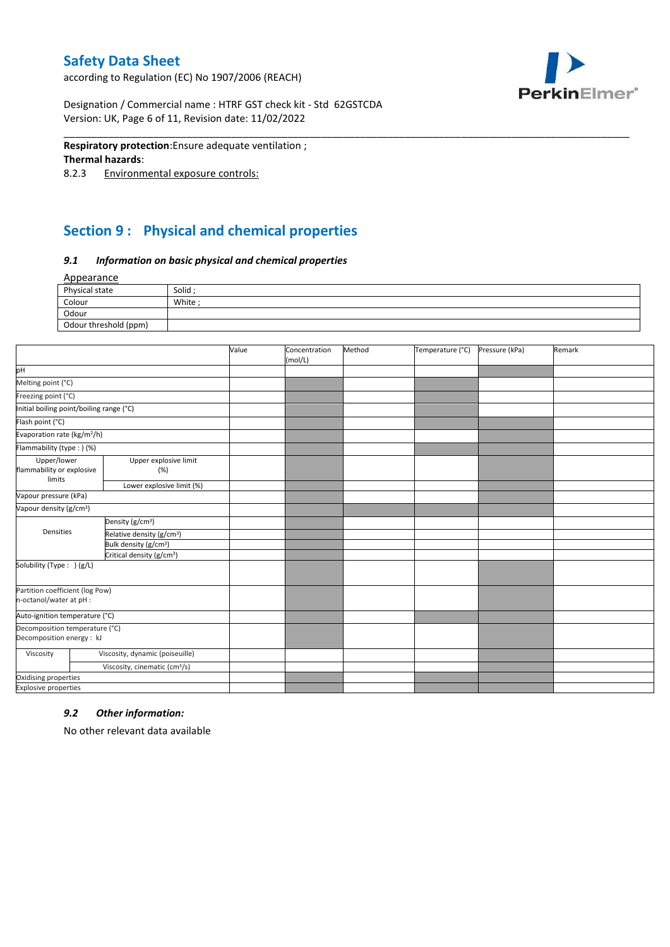according to Regulation (EC) No 1907/2006 (REACH)



Designation / Commercial name : HTRF GST check kit - Std 62GSTCDA Version: UK, Page 6 of 11, Revision date: 11/02/2022

#### **Respiratory protection**:Ensure adequate ventilation ;

#### **Thermal hazards**:

8.2.3 Environmental exposure controls:

# **Section 9 : Physical and chemical properties**

#### *9.1 Information on basic physical and chemical properties*

Appearance

| Physical state        | Solid ; |
|-----------------------|---------|
| Colour                | White:  |
| Odour                 |         |
| Odour threshold (ppm) |         |

\_\_\_\_\_\_\_\_\_\_\_\_\_\_\_\_\_\_\_\_\_\_\_\_\_\_\_\_\_\_\_\_\_\_\_\_\_\_\_\_\_\_\_\_\_\_\_\_\_\_\_\_\_\_\_\_\_\_\_\_\_\_\_\_\_\_\_\_\_\_\_\_\_\_\_\_\_\_\_\_\_\_\_\_\_\_\_\_\_\_\_\_\_\_\_\_\_\_\_\_\_

|                                                             |                                           | Value | Concentration<br>(mol/L) | Method | Temperature (°C) | Pressure (kPa) | Remark |
|-------------------------------------------------------------|-------------------------------------------|-------|--------------------------|--------|------------------|----------------|--------|
| pH                                                          |                                           |       |                          |        |                  |                |        |
| Melting point (°C)                                          |                                           |       |                          |        |                  |                |        |
| Freezing point (°C)                                         |                                           |       |                          |        |                  |                |        |
| Initial boiling point/boiling range (°C)                    |                                           |       |                          |        |                  |                |        |
| Flash point (°C)                                            |                                           |       |                          |        |                  |                |        |
| Evaporation rate (kg/m <sup>2</sup> /h)                     |                                           |       |                          |        |                  |                |        |
| Flammability (type:) (%)                                    |                                           |       |                          |        |                  |                |        |
| Upper/lower<br>flammability or explosive                    | Upper explosive limit<br>(%)              |       |                          |        |                  |                |        |
| limits                                                      | Lower explosive limit (%)                 |       |                          |        |                  |                |        |
| Vapour pressure (kPa)                                       |                                           |       |                          |        |                  |                |        |
| Vapour density (g/cm <sup>3</sup> )                         |                                           |       |                          |        |                  |                |        |
|                                                             | Density (g/cm <sup>3</sup> )              |       |                          |        |                  |                |        |
| Densities                                                   | Relative density (g/cm <sup>3</sup> )     |       |                          |        |                  |                |        |
|                                                             | Bulk density (g/cm <sup>3</sup> )         |       |                          |        |                  |                |        |
| Critical density (g/cm <sup>3</sup> )                       |                                           |       |                          |        |                  |                |        |
| Solubility (Type: ) (g/L)                                   |                                           |       |                          |        |                  |                |        |
| Partition coefficient (log Pow)                             |                                           |       |                          |        |                  |                |        |
| n-octanol/water at pH :                                     |                                           |       |                          |        |                  |                |        |
| Auto-ignition temperature (°C)                              |                                           |       |                          |        |                  |                |        |
| Decomposition temperature (°C)<br>Decomposition energy : kJ |                                           |       |                          |        |                  |                |        |
| Viscosity                                                   | Viscosity, dynamic (poiseuille)           |       |                          |        |                  |                |        |
|                                                             | Viscosity, cinematic (cm <sup>3</sup> /s) |       |                          |        |                  |                |        |
| Oxidising properties                                        |                                           |       |                          |        |                  |                |        |
| <b>Explosive properties</b>                                 |                                           |       |                          |        |                  |                |        |

#### *9.2 Other information:*

No other relevant data available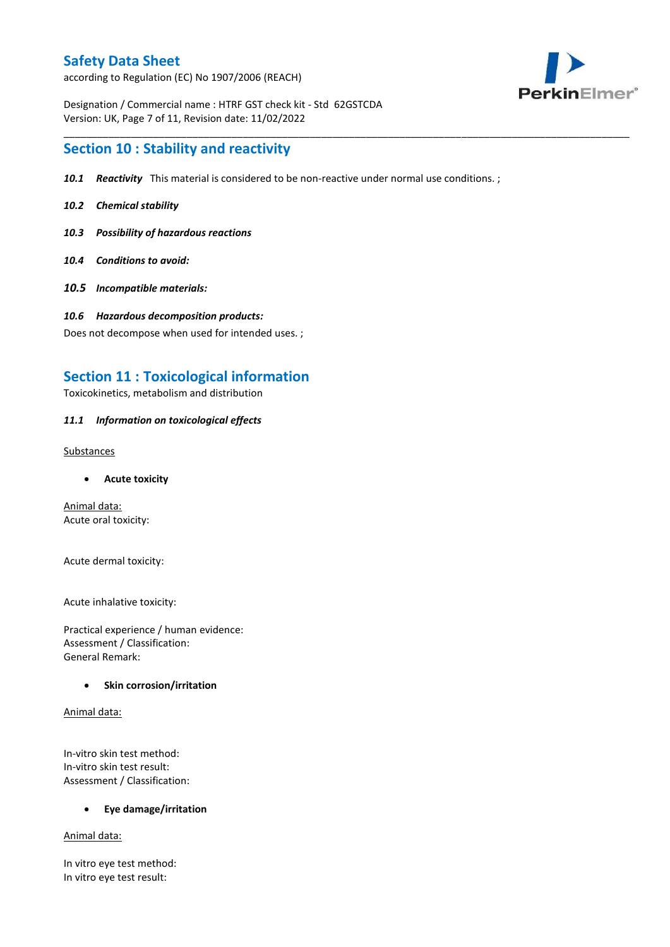according to Regulation (EC) No 1907/2006 (REACH)



Designation / Commercial name : HTRF GST check kit - Std 62GSTCDA Version: UK, Page 7 of 11, Revision date: 11/02/2022

## **Section 10 : Stability and reactivity**

*10.1 Reactivity* This material is considered to be non-reactive under normal use conditions. ;

\_\_\_\_\_\_\_\_\_\_\_\_\_\_\_\_\_\_\_\_\_\_\_\_\_\_\_\_\_\_\_\_\_\_\_\_\_\_\_\_\_\_\_\_\_\_\_\_\_\_\_\_\_\_\_\_\_\_\_\_\_\_\_\_\_\_\_\_\_\_\_\_\_\_\_\_\_\_\_\_\_\_\_\_\_\_\_\_\_\_\_\_\_\_\_\_\_\_\_\_\_

- *10.2 Chemical stability*
- *10.3 Possibility of hazardous reactions*
- *10.4 Conditions to avoid:*
- *10.5 Incompatible materials:*
- *10.6 Hazardous decomposition products:*

Does not decompose when used for intended uses. ;

### **Section 11 : Toxicological information**

Toxicokinetics, metabolism and distribution

#### *11.1 Information on toxicological effects*

Substances

**Acute toxicity**

Animal data: Acute oral toxicity:

Acute dermal toxicity:

Acute inhalative toxicity:

Practical experience / human evidence: Assessment / Classification: General Remark:

#### **•** Skin corrosion/irritation

Animal data:

In-vitro skin test method: In-vitro skin test result: Assessment / Classification:

**Eye damage/irritation**

Animal data:

In vitro eye test method: In vitro eye test result: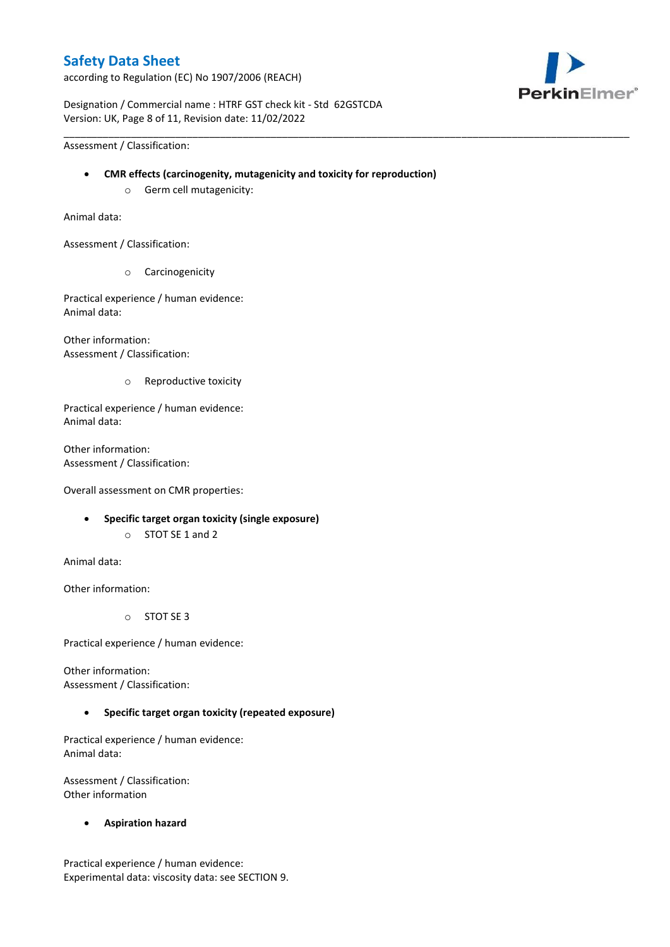according to Regulation (EC) No 1907/2006 (REACH)



Designation / Commercial name : HTRF GST check kit - Std 62GSTCDA Version: UK, Page 8 of 11, Revision date: 11/02/2022

Assessment / Classification:

**CMR effects (carcinogenity, mutagenicity and toxicity for reproduction)**

\_\_\_\_\_\_\_\_\_\_\_\_\_\_\_\_\_\_\_\_\_\_\_\_\_\_\_\_\_\_\_\_\_\_\_\_\_\_\_\_\_\_\_\_\_\_\_\_\_\_\_\_\_\_\_\_\_\_\_\_\_\_\_\_\_\_\_\_\_\_\_\_\_\_\_\_\_\_\_\_\_\_\_\_\_\_\_\_\_\_\_\_\_\_\_\_\_\_\_\_\_

o Germ cell mutagenicity:

Animal data:

Assessment / Classification:

o Carcinogenicity

Practical experience / human evidence: Animal data:

Other information: Assessment / Classification:

o Reproductive toxicity

Practical experience / human evidence: Animal data:

Other information: Assessment / Classification:

Overall assessment on CMR properties:

- **Specific target organ toxicity (single exposure)**
	- o STOT SE 1 and 2

Animal data:

Other information:

o STOT SE 3

Practical experience / human evidence:

Other information: Assessment / Classification:

### **Specific target organ toxicity (repeated exposure)**

Practical experience / human evidence: Animal data:

Assessment / Classification: Other information

**Aspiration hazard**

Practical experience / human evidence: Experimental data: viscosity data: see SECTION 9.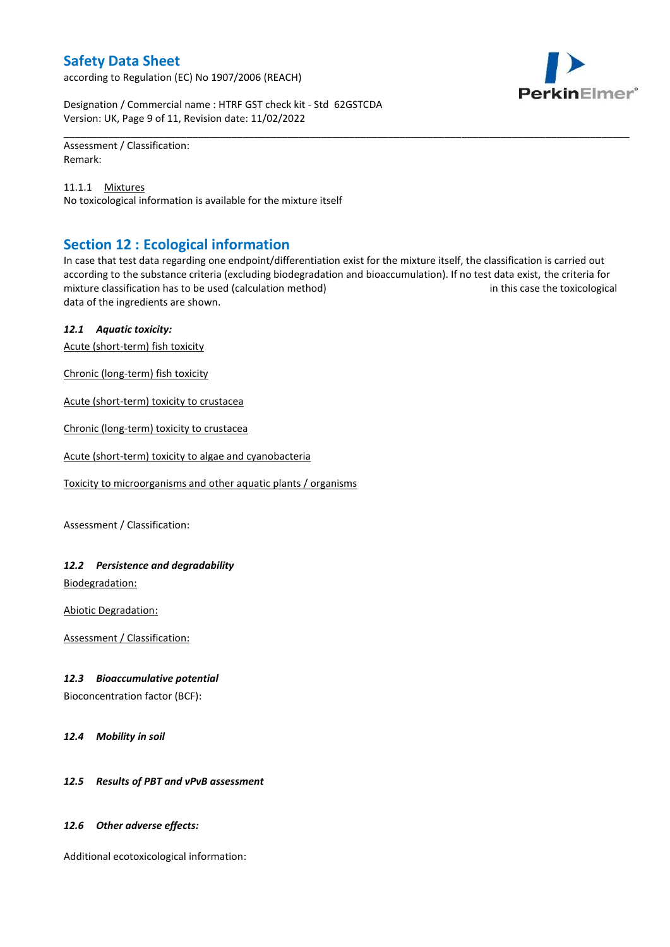according to Regulation (EC) No 1907/2006 (REACH)



Designation / Commercial name : HTRF GST check kit - Std 62GSTCDA Version: UK, Page 9 of 11, Revision date: 11/02/2022

Assessment / Classification: Remark:

11.1.1 Mixtures No toxicological information is available for the mixture itself

# **Section 12 : Ecological information**

In case that test data regarding one endpoint/differentiation exist for the mixture itself, the classification is carried out according to the substance criteria (excluding biodegradation and bioaccumulation). If no test data exist, the criteria for mixture classification has to be used (calculation method) in this case the toxicological data of the ingredients are shown.

\_\_\_\_\_\_\_\_\_\_\_\_\_\_\_\_\_\_\_\_\_\_\_\_\_\_\_\_\_\_\_\_\_\_\_\_\_\_\_\_\_\_\_\_\_\_\_\_\_\_\_\_\_\_\_\_\_\_\_\_\_\_\_\_\_\_\_\_\_\_\_\_\_\_\_\_\_\_\_\_\_\_\_\_\_\_\_\_\_\_\_\_\_\_\_\_\_\_\_\_\_

### *12.1 Aquatic toxicity:*

Acute (short-term) fish toxicity

Chronic (long-term) fish toxicity

Acute (short-term) toxicity to crustacea

Chronic (long-term) toxicity to crustacea

Acute (short-term) toxicity to algae and cyanobacteria

Toxicity to microorganisms and other aquatic plants / organisms

Assessment / Classification:

### *12.2 Persistence and degradability*

Biodegradation:

Abiotic Degradation:

Assessment / Classification:

#### *12.3 Bioaccumulative potential*

Bioconcentration factor (BCF):

*12.4 Mobility in soil*

### *12.5 Results of PBT and vPvB assessment*

#### *12.6 Other adverse effects:*

Additional ecotoxicological information: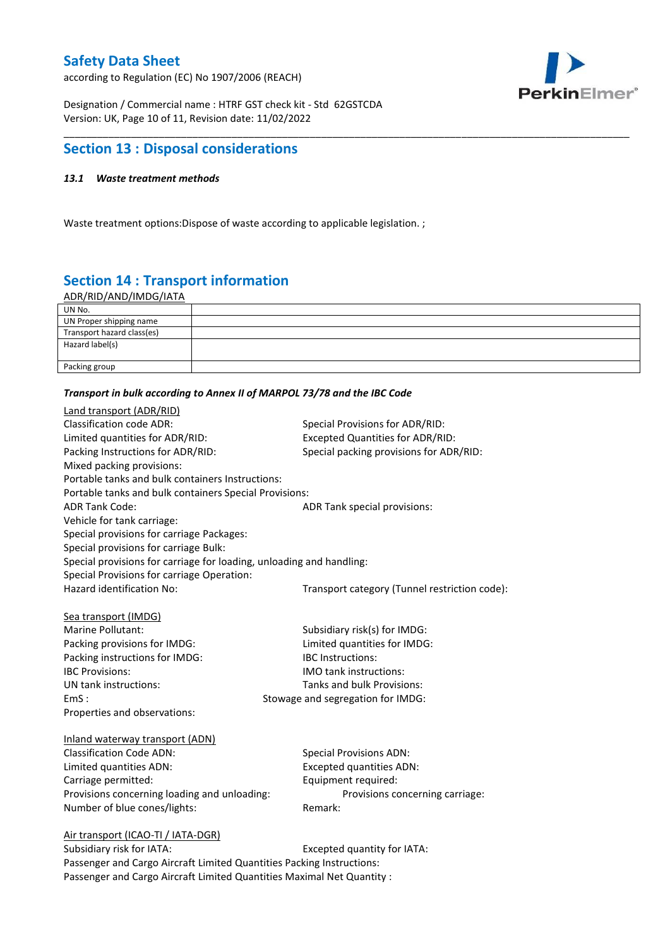according to Regulation (EC) No 1907/2006 (REACH)



Designation / Commercial name : HTRF GST check kit - Std 62GSTCDA Version: UK, Page 10 of 11, Revision date: 11/02/2022

## **Section 13 : Disposal considerations**

### *13.1 Waste treatment methods*

Waste treatment options:Dispose of waste according to applicable legislation. ;

# **Section 14 : Transport information**

ADR/RID/AND/IMDG/IATA

| UN No.                     |  |
|----------------------------|--|
| UN Proper shipping name    |  |
| Transport hazard class(es) |  |
| Hazard label(s)            |  |
|                            |  |
| Packing group              |  |

\_\_\_\_\_\_\_\_\_\_\_\_\_\_\_\_\_\_\_\_\_\_\_\_\_\_\_\_\_\_\_\_\_\_\_\_\_\_\_\_\_\_\_\_\_\_\_\_\_\_\_\_\_\_\_\_\_\_\_\_\_\_\_\_\_\_\_\_\_\_\_\_\_\_\_\_\_\_\_\_\_\_\_\_\_\_\_\_\_\_\_\_\_\_\_\_\_\_\_\_\_

#### *Transport in bulk according to Annex II of MARPOL 73/78 and the IBC Code*

| Land transport (ADR/RID)                                                    |                                               |
|-----------------------------------------------------------------------------|-----------------------------------------------|
| <b>Classification code ADR:</b>                                             | Special Provisions for ADR/RID:               |
| Limited quantities for ADR/RID:                                             | Excepted Quantities for ADR/RID:              |
| Packing Instructions for ADR/RID:                                           | Special packing provisions for ADR/RID:       |
| Mixed packing provisions:                                                   |                                               |
| Portable tanks and bulk containers Instructions:                            |                                               |
| Portable tanks and bulk containers Special Provisions:                      |                                               |
| <b>ADR Tank Code:</b>                                                       | ADR Tank special provisions:                  |
| Vehicle for tank carriage:                                                  |                                               |
| Special provisions for carriage Packages:                                   |                                               |
| Special provisions for carriage Bulk:                                       |                                               |
| Special provisions for carriage for loading, unloading and handling:        |                                               |
| Special Provisions for carriage Operation:                                  |                                               |
| Hazard identification No:                                                   | Transport category (Tunnel restriction code): |
|                                                                             |                                               |
| Sea transport (IMDG)                                                        |                                               |
| Marine Pollutant:                                                           | Subsidiary risk(s) for IMDG:                  |
| Packing provisions for IMDG:                                                | Limited quantities for IMDG:                  |
| Packing instructions for IMDG:                                              | IBC Instructions:                             |
| <b>IBC Provisions:</b>                                                      | <b>IMO</b> tank instructions:                 |
| UN tank instructions:                                                       | Tanks and bulk Provisions:                    |
| EmS:                                                                        | Stowage and segregation for IMDG:             |
| Properties and observations:                                                |                                               |
|                                                                             |                                               |
| Inland waterway transport (ADN)                                             |                                               |
| <b>Classification Code ADN:</b>                                             | <b>Special Provisions ADN:</b>                |
| Limited quantities ADN:                                                     | <b>Excepted quantities ADN:</b>               |
| Carriage permitted:                                                         | Equipment required:                           |
| Provisions concerning loading and unloading:                                | Provisions concerning carriage:               |
| Number of blue cones/lights:                                                | Remark:                                       |
|                                                                             |                                               |
| Air transport (ICAO-TI / IATA-DGR)<br>Subsidiary risk for IATA <sup>.</sup> | Excepted quantity for $IATA$ .                |
|                                                                             |                                               |

Subsidiary risk for IATA: Subsidiary risk for IATA: Passenger and Cargo Aircraft Limited Quantities Packing Instructions: Passenger and Cargo Aircraft Limited Quantities Maximal Net Quantity :